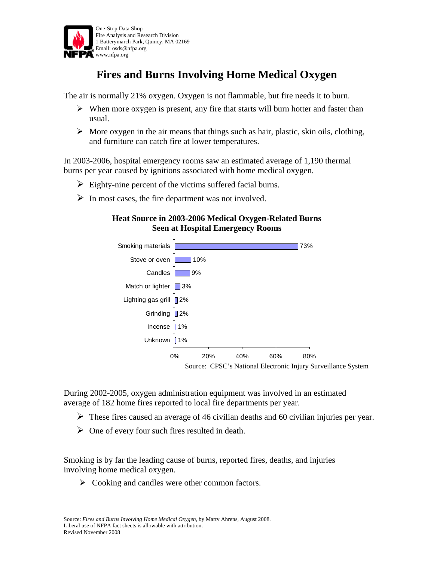

## **Fires and Burns Involving Home Medical Oxygen**

The air is normally 21% oxygen. Oxygen is not flammable, but fire needs it to burn.

- $\triangleright$  When more oxygen is present, any fire that starts will burn hotter and faster than usual.
- $\triangleright$  More oxygen in the air means that things such as hair, plastic, skin oils, clothing, and furniture can catch fire at lower temperatures.

In 2003-2006, hospital emergency rooms saw an estimated average of 1,190 thermal burns per year caused by ignitions associated with home medical oxygen.

- $\triangleright$  Eighty-nine percent of the victims suffered facial burns.
- $\triangleright$  In most cases, the fire department was not involved.

## **Heat Source in 2003-2006 Medical Oxygen-Related Burns Seen at Hospital Emergency Rooms**



During 2002-2005, oxygen administration equipment was involved in an estimated average of 182 home fires reported to local fire departments per year.

- $\triangleright$  These fires caused an average of 46 civilian deaths and 60 civilian injuries per year.
- $\triangleright$  One of every four such fires resulted in death.

Smoking is by far the leading cause of burns, reported fires, deaths, and injuries involving home medical oxygen.

 $\triangleright$  Cooking and candles were other common factors.